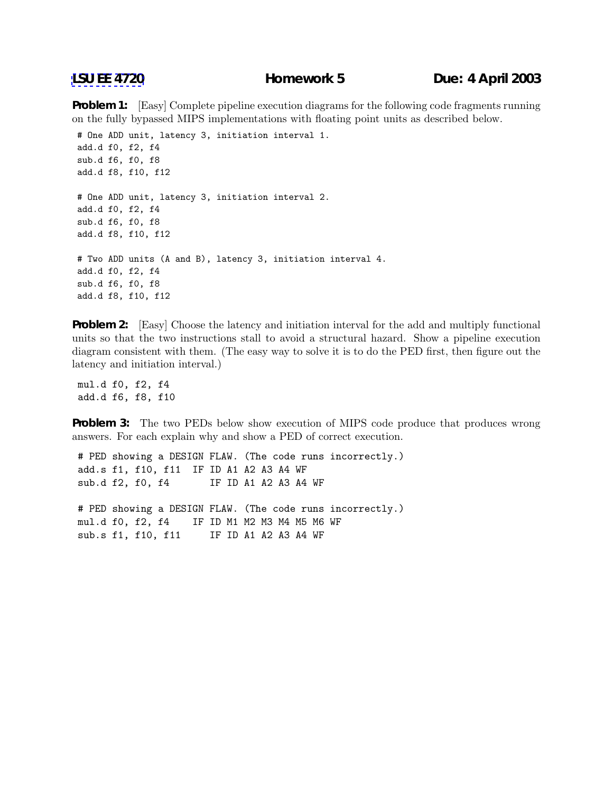**Problem 1:** [Easy] Complete pipeline execution diagrams for the following code fragments running on the fully bypassed MIPS implementations with floating point units as described below.

```
# One ADD unit, latency 3, initiation interval 1.
add.d f0, f2, f4
sub.d f6, f0, f8
add.d f8, f10, f12
# One ADD unit, latency 3, initiation interval 2.
add.d f0, f2, f4
sub.d f6, f0, f8
add.d f8, f10, f12
# Two ADD units (A and B), latency 3, initiation interval 4.
add.d f0, f2, f4
sub.d f6, f0, f8
add.d f8, f10, f12
```
**Problem 2:** [Easy] Choose the latency and initiation interval for the add and multiply functional units so that the two instructions stall to avoid a structural hazard. Show a pipeline execution diagram consistent with them. (The easy way to solve it is to do the PED first, then figure out the latency and initiation interval.)

mul.d f0, f2, f4 add.d f6, f8, f10

**Problem 3:** The two PEDs below show execution of MIPS code produce that produces wrong answers. For each explain why and show a PED of correct execution.

# PED showing a DESIGN FLAW. (The code runs incorrectly.) add.s f1, f10, f11 IF ID A1 A2 A3 A4 WF sub.d f2, f0, f4 IF ID A1 A2 A3 A4 WF # PED showing a DESIGN FLAW. (The code runs incorrectly.) mul.d f0, f2, f4 IF ID M1 M2 M3 M4 M5 M6 WF sub.s f1, f10, f11 IF ID A1 A2 A3 A4 WF